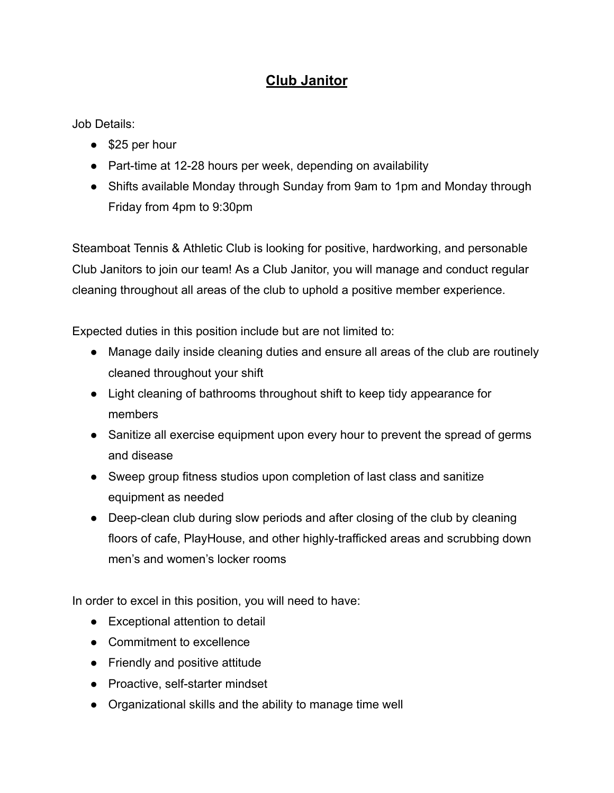## **Club Janitor**

Job Details:

- \$25 per hour
- Part-time at 12-28 hours per week, depending on availability
- Shifts available Monday through Sunday from 9am to 1pm and Monday through Friday from 4pm to 9:30pm

Steamboat Tennis & Athletic Club is looking for positive, hardworking, and personable Club Janitors to join our team! As a Club Janitor, you will manage and conduct regular cleaning throughout all areas of the club to uphold a positive member experience.

Expected duties in this position include but are not limited to:

- Manage daily inside cleaning duties and ensure all areas of the club are routinely cleaned throughout your shift
- Light cleaning of bathrooms throughout shift to keep tidy appearance for members
- Sanitize all exercise equipment upon every hour to prevent the spread of germs and disease
- Sweep group fitness studios upon completion of last class and sanitize equipment as needed
- Deep-clean club during slow periods and after closing of the club by cleaning floors of cafe, PlayHouse, and other highly-trafficked areas and scrubbing down men's and women's locker rooms

In order to excel in this position, you will need to have:

- Exceptional attention to detail
- Commitment to excellence
- Friendly and positive attitude
- Proactive, self-starter mindset
- Organizational skills and the ability to manage time well